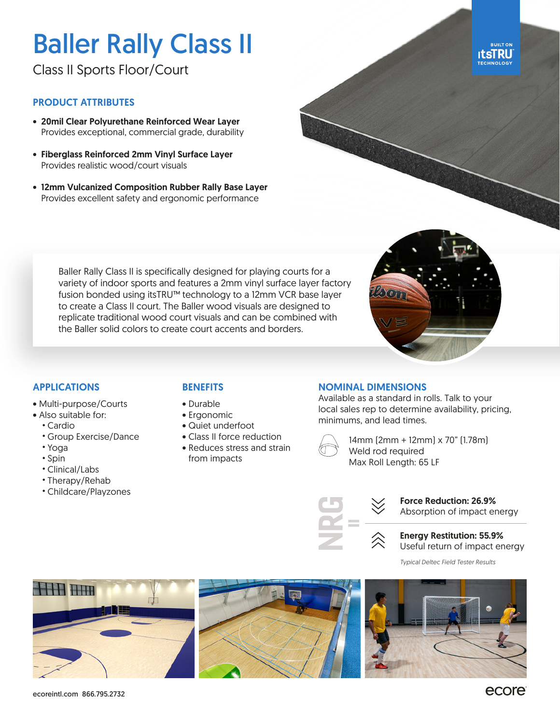# Baller Rally Class II

Class II Sports Floor/Court

#### PRODUCT ATTRIBUTES

- 20mil Clear Polyurethane Reinforced Wear Layer Provides exceptional, commercial grade, durability
- Fiberglass Reinforced 2mm Vinyl Surface Layer Provides realistic wood/court visuals
- 12mm Vulcanized Composition Rubber Rally Base Layer Provides excellent safety and ergonomic performance





#### APPLICATIONS

- Multi-purpose/Courts
- Also suitable for:
	- Cardio
	- Group Exercise/Dance
	- Yoga
	- Spin
	- Clinical/Labs
	- Therapy/Rehab
	- Childcare/Playzones

### **BENEFITS**

Baller Rally Class II is specifically designed for playing courts for a variety of indoor sports and features a 2mm vinyl surface layer factory fusion bonded using itsTRU™ technology to a 12mm VCR base layer to create a Class II court. The Baller wood visuals are designed to replicate traditional wood court visuals and can be combined with

the Baller solid colors to create court accents and borders.

- Durable
- Ergonomic
- Quiet underfoot
- Class II force reduction
- Reduces stress and strain from impacts

#### NOMINAL DIMENSIONS

Available as a standard in rolls. Talk to your local sales rep to determine availability, pricing, minimums, and lead times.



14mm (2mm + 12mm) x 70" (1.78m) Weld rod required Max Roll Length: 65 LF



Force Reduction: 26.9% Absorption of impact energy



*Typical Deltec Field Tester Results*